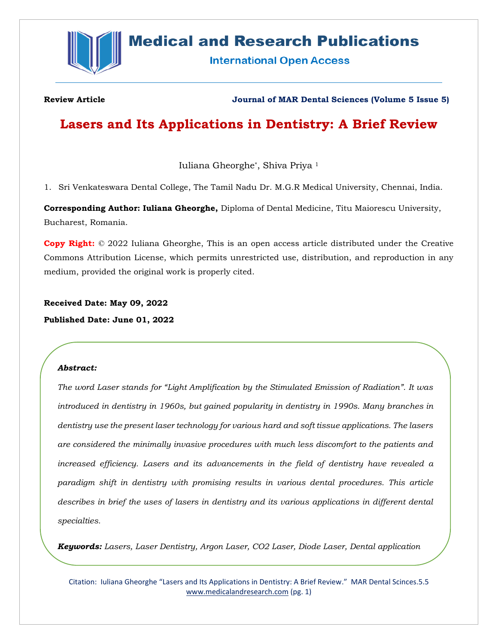

# **Medical and Research Publications**

**International Open Access** 

**Review Article Journal of MAR Dental Sciences (Volume 5 Issue 5)**

# **Lasers and Its Applications in Dentistry: A Brief Review**

Iuliana Gheorghe\*, Shiva Priya <sup>1</sup>

1. Sri Venkateswara Dental College, The Tamil Nadu Dr. M.G.R Medical University, Chennai, India.

**Corresponding Author: Iuliana Gheorghe,** Diploma of Dental Medicine, Titu Maiorescu University, Bucharest, Romania.

**Copy Right:** © 2022 Iuliana Gheorghe, This is an open access article distributed under the Creative Commons Attribution License, which permits unrestricted use, distribution, and reproduction in any medium, provided the original work is properly cited.

**Received Date: May 09, 2022 Published Date: June 01, 2022**

# *Abstract:*

*The word Laser stands for "Light Amplification by the Stimulated Emission of Radiation". It was introduced in dentistry in 1960s, but gained popularity in dentistry in 1990s. Many branches in dentistry use the present laser technology for various hard and soft tissue applications. The lasers are considered the minimally invasive procedures with much less discomfort to the patients and increased efficiency. Lasers and its advancements in the field of dentistry have revealed a paradigm shift in dentistry with promising results in various dental procedures. This article describes in brief the uses of lasers in dentistry and its various applications in different dental specialties.* 

*Keywords: Lasers, Laser Dentistry, Argon Laser, CO2 Laser, Diode Laser, Dental application*

Citation: Iuliana Gheorghe "Lasers and Its Applications in Dentistry: A Brief Review." MAR Dental Scinces.5.5 [www.medicalandresearch.com](http://www.medicalandresearch.com/) (pg. 1)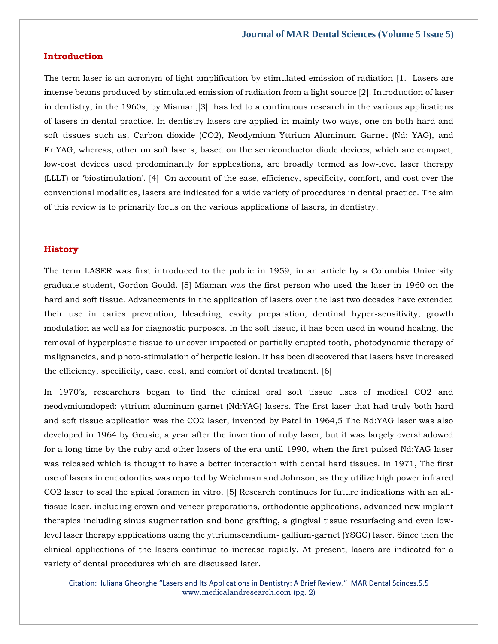# **Introduction**

The term laser is an acronym of light amplification by stimulated emission of radiation [1. Lasers are intense beams produced by stimulated emission of radiation from a light source [2]. Introduction of laser in dentistry, in the 1960s, by Miaman,[3] has led to a continuous research in the various applications of lasers in dental practice. In dentistry lasers are applied in mainly two ways, one on both hard and soft tissues such as, Carbon dioxide (CO2), Neodymium Yttrium Aluminum Garnet (Nd: YAG), and Er:YAG, whereas, other on soft lasers, based on the semiconductor diode devices, which are compact, low-cost devices used predominantly for applications, are broadly termed as low-level laser therapy (LLLT) or 'biostimulation'. [4] On account of the ease, efficiency, specificity, comfort, and cost over the conventional modalities, lasers are indicated for a wide variety of procedures in dental practice. The aim of this review is to primarily focus on the various applications of lasers, in dentistry.

# **History**

The term LASER was first introduced to the public in 1959, in an article by a Columbia University graduate student, Gordon Gould. [5] Miaman was the first person who used the laser in 1960 on the hard and soft tissue. Advancements in the application of lasers over the last two decades have extended their use in caries prevention, bleaching, cavity preparation, dentinal hyper-sensitivity, growth modulation as well as for diagnostic purposes. In the soft tissue, it has been used in wound healing, the removal of hyperplastic tissue to uncover impacted or partially erupted tooth, photodynamic therapy of malignancies, and photo-stimulation of herpetic lesion. It has been discovered that lasers have increased the efficiency, specificity, ease, cost, and comfort of dental treatment. [6]

In 1970's, researchers began to find the clinical oral soft tissue uses of medical CO2 and neodymiumdoped: yttrium aluminum garnet (Nd:YAG) lasers. The first laser that had truly both hard and soft tissue application was the CO2 laser, invented by Patel in 1964,5 The Nd:YAG laser was also developed in 1964 by Geusic, a year after the invention of ruby laser, but it was largely overshadowed for a long time by the ruby and other lasers of the era until 1990, when the first pulsed Nd:YAG laser was released which is thought to have a better interaction with dental hard tissues. In 1971, The first use of lasers in endodontics was reported by Weichman and Johnson, as they utilize high power infrared CO2 laser to seal the apical foramen in vitro. [5] Research continues for future indications with an alltissue laser, including crown and veneer preparations, orthodontic applications, advanced new implant therapies including sinus augmentation and bone grafting, a gingival tissue resurfacing and even lowlevel laser therapy applications using the yttriumscandium- gallium-garnet (YSGG) laser. Since then the clinical applications of the lasers continue to increase rapidly. At present, lasers are indicated for a variety of dental procedures which are discussed later.

Citation: Iuliana Gheorghe "Lasers and Its Applications in Dentistry: A Brief Review." MAR Dental Scinces.5.5 [www.medicalandresearch.com](http://www.medicalandresearch.com/) (pg. 2)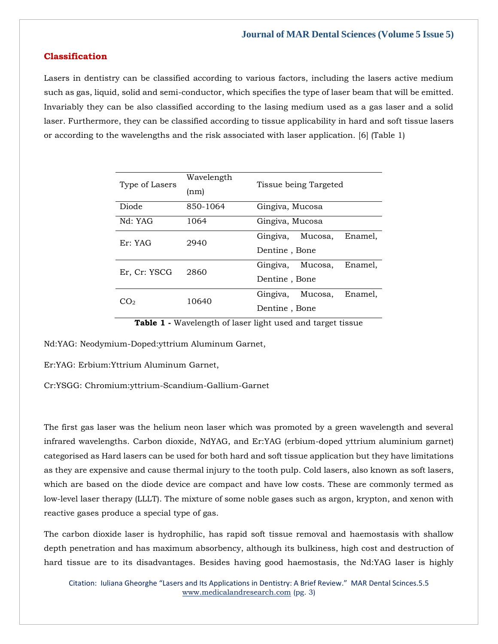# **Classification**

Lasers in dentistry can be classified according to various factors, including the lasers active medium such as gas, liquid, solid and semi-conductor, which specifies the type of laser beam that will be emitted. Invariably they can be also classified according to the lasing medium used as a gas laser and a solid laser. Furthermore, they can be classified according to tissue applicability in hard and soft tissue lasers or according to the wavelengths and the risk associated with laser application. [6] (Table 1)

| Type of Lasers | Wavelength<br>(nm) | Tissue being Targeted          |
|----------------|--------------------|--------------------------------|
| Diode          | 850-1064           | Gingiva, Mucosa                |
| Nd: YAG        | 1064               | Gingiva, Mucosa                |
| Er: YAG        | 2940               | Gingiva, Mucosa,<br>Enamel.    |
|                |                    | Dentine, Bone                  |
| Er, Cr: YSCG   | 2860               | Gingiva,<br>Mucosa,<br>Enamel. |
|                |                    | Dentine, Bone                  |
| $\Omega$       | 10640              | Gingiva,<br>Enamel.<br>Mucosa, |
|                |                    | Dentine, Bone                  |

**Table 1 -** Wavelength of laser light used and target tissue

Nd:YAG: Neodymium-Doped:yttrium Aluminum Garnet,

Er:YAG: Erbium:Yttrium Aluminum Garnet,

Cr:YSGG: Chromium:yttrium-Scandium-Gallium-Garnet

The first gas laser was the helium neon laser which was promoted by a green wavelength and several infrared wavelengths. Carbon dioxide, NdYAG, and Er:YAG (erbium-doped yttrium aluminium garnet) categorised as Hard lasers can be used for both hard and soft tissue application but they have limitations as they are expensive and cause thermal injury to the tooth pulp. Cold lasers, also known as soft lasers, which are based on the diode device are compact and have low costs. These are commonly termed as low-level laser therapy (LLLT). The mixture of some noble gases such as argon, krypton, and xenon with reactive gases produce a special type of gas.

The carbon dioxide laser is hydrophilic, has rapid soft tissue removal and haemostasis with shallow depth penetration and has maximum absorbency, although its bulkiness, high cost and destruction of hard tissue are to its disadvantages. Besides having good haemostasis, the Nd:YAG laser is highly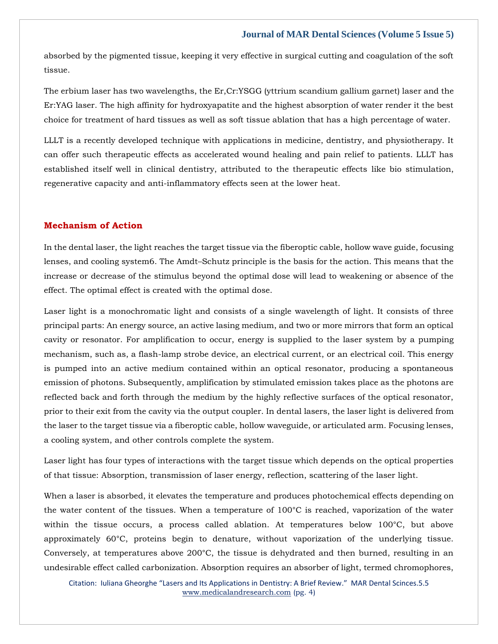absorbed by the pigmented tissue, keeping it very effective in surgical cutting and coagulation of the soft tissue.

The erbium laser has two wavelengths, the Er,Cr:YSGG (yttrium scandium gallium garnet) laser and the Er:YAG laser. The high affinity for hydroxyapatite and the highest absorption of water render it the best choice for treatment of hard tissues as well as soft tissue ablation that has a high percentage of water.

LLLT is a recently developed technique with applications in medicine, dentistry, and physiotherapy. It can offer such therapeutic effects as accelerated wound healing and pain relief to patients. LLLT has established itself well in clinical dentistry, attributed to the therapeutic effects like bio stimulation, regenerative capacity and anti-inflammatory effects seen at the lower heat.

# **Mechanism of Action**

In the dental laser, the light reaches the target tissue via the fiberoptic cable, hollow wave guide, focusing lenses, and cooling system6. The Amdt–Schutz principle is the basis for the action. This means that the increase or decrease of the stimulus beyond the optimal dose will lead to weakening or absence of the effect. The optimal effect is created with the optimal dose.

Laser light is a monochromatic light and consists of a single wavelength of light. It consists of three principal parts: An energy source, an active lasing medium, and two or more mirrors that form an optical cavity or resonator. For amplification to occur, energy is supplied to the laser system by a pumping mechanism, such as, a flash-lamp strobe device, an electrical current, or an electrical coil. This energy is pumped into an active medium contained within an optical resonator, producing a spontaneous emission of photons. Subsequently, amplification by stimulated emission takes place as the photons are reflected back and forth through the medium by the highly reflective surfaces of the optical resonator, prior to their exit from the cavity via the output coupler. In dental lasers, the laser light is delivered from the laser to the target tissue via a fiberoptic cable, hollow waveguide, or articulated arm. Focusing lenses, a cooling system, and other controls complete the system.

Laser light has four types of interactions with the target tissue which depends on the optical properties of that tissue: Absorption, transmission of laser energy, reflection, scattering of the laser light.

When a laser is absorbed, it elevates the temperature and produces photochemical effects depending on the water content of the tissues. When a temperature of 100°C is reached, vaporization of the water within the tissue occurs, a process called ablation. At temperatures below 100°C, but above approximately 60°C, proteins begin to denature, without vaporization of the underlying tissue. Conversely, at temperatures above 200°C, the tissue is dehydrated and then burned, resulting in an undesirable effect called carbonization. Absorption requires an absorber of light, termed chromophores,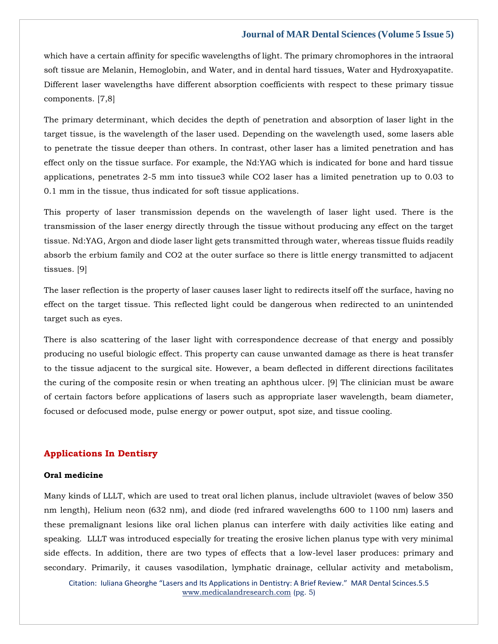which have a certain affinity for specific wavelengths of light. The primary chromophores in the intraoral soft tissue are Melanin, Hemoglobin, and Water, and in dental hard tissues, Water and Hydroxyapatite. Different laser wavelengths have different absorption coefficients with respect to these primary tissue components. [7,8]

The primary determinant, which decides the depth of penetration and absorption of laser light in the target tissue, is the wavelength of the laser used. Depending on the wavelength used, some lasers able to penetrate the tissue deeper than others. In contrast, other laser has a limited penetration and has effect only on the tissue surface. For example, the Nd:YAG which is indicated for bone and hard tissue applications, penetrates 2-5 mm into tissue3 while CO2 laser has a limited penetration up to 0.03 to 0.1 mm in the tissue, thus indicated for soft tissue applications.

This property of laser transmission depends on the wavelength of laser light used. There is the transmission of the laser energy directly through the tissue without producing any effect on the target tissue. Nd:YAG, Argon and diode laser light gets transmitted through water, whereas tissue fluids readily absorb the erbium family and CO2 at the outer surface so there is little energy transmitted to adjacent tissues. [9]

The laser reflection is the property of laser causes laser light to redirects itself off the surface, having no effect on the target tissue. This reflected light could be dangerous when redirected to an unintended target such as eyes.

There is also scattering of the laser light with correspondence decrease of that energy and possibly producing no useful biologic effect. This property can cause unwanted damage as there is heat transfer to the tissue adjacent to the surgical site. However, a beam deflected in different directions facilitates the curing of the composite resin or when treating an aphthous ulcer. [9] The clinician must be aware of certain factors before applications of lasers such as appropriate laser wavelength, beam diameter, focused or defocused mode, pulse energy or power output, spot size, and tissue cooling.

# **Applications In Dentisry**

#### **Oral medicine**

Many kinds of LLLT, which are used to treat oral lichen planus, include ultraviolet (waves of below 350 nm length), Helium neon (632 nm), and diode (red infrared wavelengths 600 to 1100 nm) lasers and these premalignant lesions like oral lichen planus can interfere with daily activities like eating and speaking. LLLT was introduced especially for treating the erosive lichen planus type with very minimal side effects. In addition, there are two types of effects that a low-level laser produces: primary and secondary. Primarily, it causes vasodilation, lymphatic drainage, cellular activity and metabolism,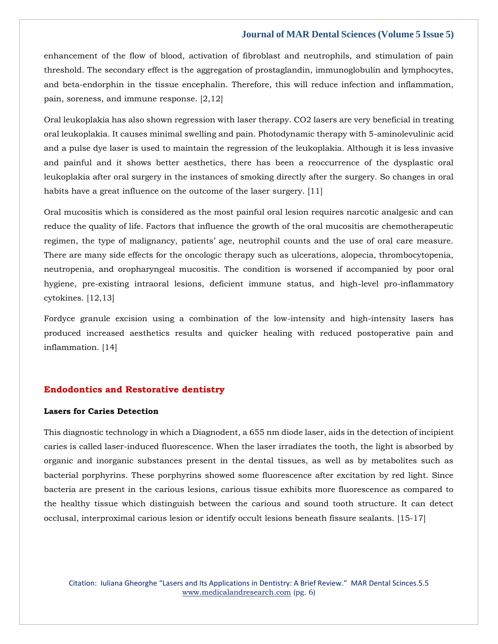enhancement of the flow of blood, activation of fibroblast and neutrophils, and stimulation of pain threshold. The secondary effect is the aggregation of prostaglandin, immunoglobulin and lymphocytes, and beta-endorphin in the tissue encephalin. Therefore, this will reduce infection and inflammation, pain, soreness, and immune response. [2,12]

Oral leukoplakia has also shown regression with laser therapy. CO2 lasers are very beneficial in treating oral leukoplakia. It causes minimal swelling and pain. Photodynamic therapy with 5-aminolevulinic acid and a pulse dye laser is used to maintain the regression of the leukoplakia. Although it is less invasive and painful and it shows better aesthetics, there has been a reoccurrence of the dysplastic oral leukoplakia after oral surgery in the instances of smoking directly after the surgery. So changes in oral habits have a great influence on the outcome of the laser surgery. [11]

Oral mucositis which is considered as the most painful oral lesion requires narcotic analgesic and can reduce the quality of life. Factors that influence the growth of the oral mucositis are chemotherapeutic regimen, the type of malignancy, patients' age, neutrophil counts and the use of oral care measure. There are many side effects for the oncologic therapy such as ulcerations, alopecia, thrombocytopenia, neutropenia, and oropharyngeal mucositis. The condition is worsened if accompanied by poor oral hygiene, pre-existing intraoral lesions, deficient immune status, and high-level pro-inflammatory cytokines. [12,13]

Fordyce granule excision using a combination of the low-intensity and high-intensity lasers has produced increased aesthetics results and quicker healing with reduced postoperative pain and inflammation. [14]

# **Endodontics and Restorative dentistry**

# **Lasers for Caries Detection**

This diagnostic technology in which a Diagnodent, a 655 nm diode laser, aids in the detection of incipient caries is called laser-induced fluorescence. When the laser irradiates the tooth, the light is absorbed by organic and inorganic substances present in the dental tissues, as well as by metabolites such as bacterial porphyrins. These porphyrins showed some fluorescence after excitation by red light. Since bacteria are present in the carious lesions, carious tissue exhibits more fluorescence as compared to the healthy tissue which distinguish between the carious and sound tooth structure. It can detect occlusal, interproximal carious lesion or identify occult lesions beneath fissure sealants. [15-17]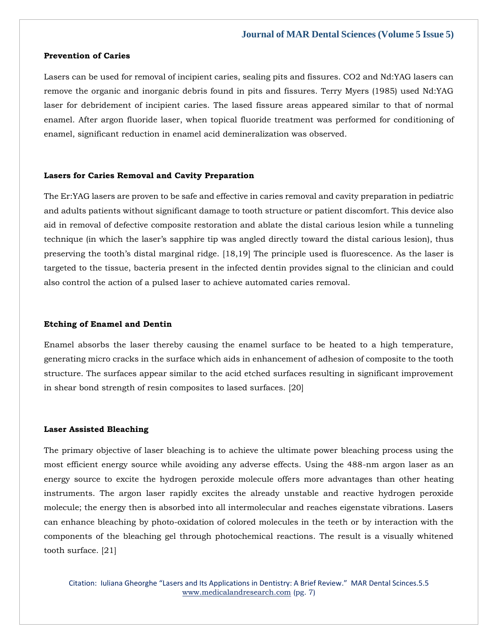#### **Prevention of Caries**

Lasers can be used for removal of incipient caries, sealing pits and fissures. CO2 and Nd:YAG lasers can remove the organic and inorganic debris found in pits and fissures. Terry Myers (1985) used Nd:YAG laser for debridement of incipient caries. The lased fissure areas appeared similar to that of normal enamel. After argon fluoride laser, when topical fluoride treatment was performed for conditioning of enamel, significant reduction in enamel acid demineralization was observed.

#### **Lasers for Caries Removal and Cavity Preparation**

The Er:YAG lasers are proven to be safe and effective in caries removal and cavity preparation in pediatric and adults patients without significant damage to tooth structure or patient discomfort. This device also aid in removal of defective composite restoration and ablate the distal carious lesion while a tunneling technique (in which the laser's sapphire tip was angled directly toward the distal carious lesion), thus preserving the tooth's distal marginal ridge. [18,19] The principle used is fluorescence. As the laser is targeted to the tissue, bacteria present in the infected dentin provides signal to the clinician and could also control the action of a pulsed laser to achieve automated caries removal.

#### **Etching of Enamel and Dentin**

Enamel absorbs the laser thereby causing the enamel surface to be heated to a high temperature, generating micro cracks in the surface which aids in enhancement of adhesion of composite to the tooth structure. The surfaces appear similar to the acid etched surfaces resulting in significant improvement in shear bond strength of resin composites to lased surfaces. [20]

#### **Laser Assisted Bleaching**

The primary objective of laser bleaching is to achieve the ultimate power bleaching process using the most efficient energy source while avoiding any adverse effects. Using the 488-nm argon laser as an energy source to excite the hydrogen peroxide molecule offers more advantages than other heating instruments. The argon laser rapidly excites the already unstable and reactive hydrogen peroxide molecule; the energy then is absorbed into all intermolecular and reaches eigenstate vibrations. Lasers can enhance bleaching by photo-oxidation of colored molecules in the teeth or by interaction with the components of the bleaching gel through photochemical reactions. The result is a visually whitened tooth surface. [21]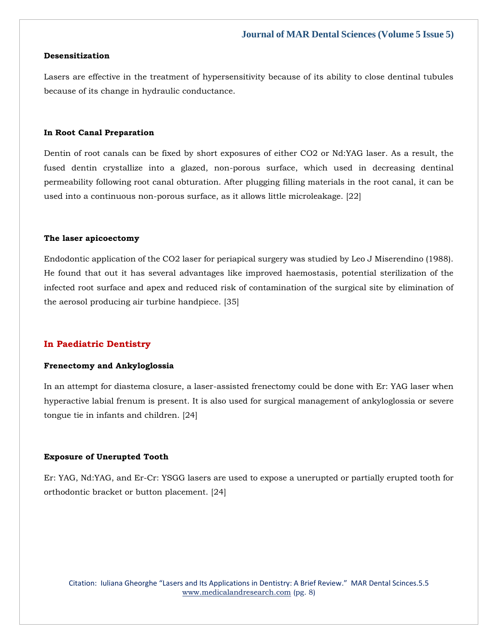# **Desensitization**

Lasers are effective in the treatment of hypersensitivity because of its ability to close dentinal tubules because of its change in hydraulic conductance.

#### **In Root Canal Preparation**

Dentin of root canals can be fixed by short exposures of either CO2 or Nd:YAG laser. As a result, the fused dentin crystallize into a glazed, non-porous surface, which used in decreasing dentinal permeability following root canal obturation. After plugging filling materials in the root canal, it can be used into a continuous non-porous surface, as it allows little microleakage. [22]

#### **The laser apicoectomy**

Endodontic application of the CO2 laser for periapical surgery was studied by Leo J Miserendino (1988). He found that out it has several advantages like improved haemostasis, potential sterilization of the infected root surface and apex and reduced risk of contamination of the surgical site by elimination of the aerosol producing air turbine handpiece. [35]

# **In Paediatric Dentistry**

# **Frenectomy and Ankyloglossia**

In an attempt for diastema closure, a laser-assisted frenectomy could be done with Er: YAG laser when hyperactive labial frenum is present. It is also used for surgical management of ankyloglossia or severe tongue tie in infants and children. [24]

#### **Exposure of Unerupted Tooth**

Er: YAG, Nd:YAG, and Er-Cr: YSGG lasers are used to expose a unerupted or partially erupted tooth for orthodontic bracket or button placement. [24]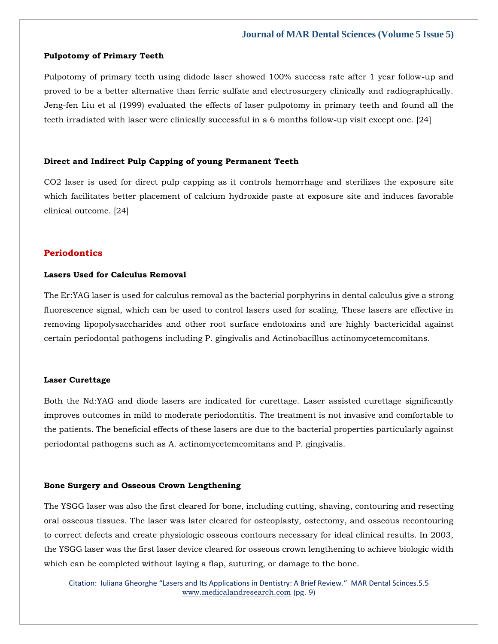#### **Pulpotomy of Primary Teeth**

Pulpotomy of primary teeth using didode laser showed 100% success rate after 1 year follow-up and proved to be a better alternative than ferric sulfate and electrosurgery clinically and radiographically. Jeng-fen Liu et al (1999) evaluated the effects of laser pulpotomy in primary teeth and found all the teeth irradiated with laser were clinically successful in a 6 months follow-up visit except one. [24]

# **Direct and Indirect Pulp Capping of young Permanent Teeth**

CO2 laser is used for direct pulp capping as it controls hemorrhage and sterilizes the exposure site which facilitates better placement of calcium hydroxide paste at exposure site and induces favorable clinical outcome. [24]

#### **Periodontics**

# **Lasers Used for Calculus Removal**

The Er:YAG laser is used for calculus removal as the bacterial porphyrins in dental calculus give a strong fluorescence signal, which can be used to control lasers used for scaling. These lasers are effective in removing lipopolysaccharides and other root surface endotoxins and are highly bactericidal against certain periodontal pathogens including P. gingivalis and Actinobacillus actinomycetemcomitans.

# **Laser Curettage**

Both the Nd:YAG and diode lasers are indicated for curettage. Laser assisted curettage significantly improves outcomes in mild to moderate periodontitis. The treatment is not invasive and comfortable to the patients. The beneficial effects of these lasers are due to the bacterial properties particularly against periodontal pathogens such as A. actinomycetemcomitans and P. gingivalis.

#### **Bone Surgery and Osseous Crown Lengthening**

The YSGG laser was also the first cleared for bone, including cutting, shaving, contouring and resecting oral osseous tissues. The laser was later cleared for osteoplasty, ostectomy, and osseous recontouring to correct defects and create physiologic osseous contours necessary for ideal clinical results. In 2003, the YSGG laser was the first laser device cleared for osseous crown lengthening to achieve biologic width which can be completed without laying a flap, suturing, or damage to the bone.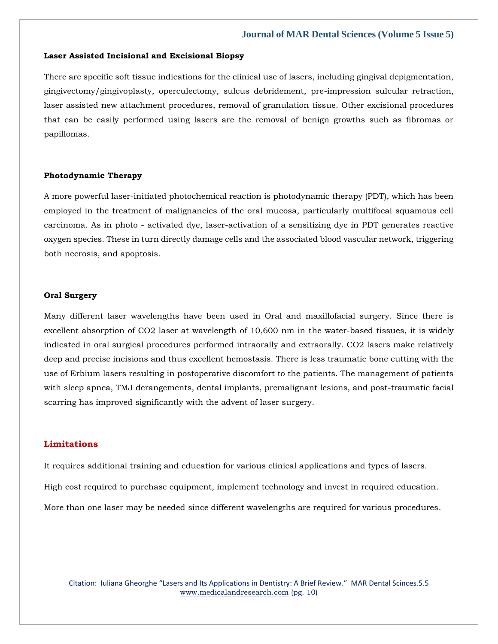#### **Laser Assisted Incisional and Excisional Biopsy**

There are specific soft tissue indications for the clinical use of lasers, including gingival depigmentation, gingivectomy/gingivoplasty, operculectomy, sulcus debridement, pre-impression sulcular retraction, laser assisted new attachment procedures, removal of granulation tissue. Other excisional procedures that can be easily performed using lasers are the removal of benign growths such as fibromas or papillomas.

#### **Photodynamic Therapy**

A more powerful laser-initiated photochemical reaction is photodynamic therapy (PDT), which has been employed in the treatment of malignancies of the oral mucosa, particularly multifocal squamous cell carcinoma. As in photo - activated dye, laser-activation of a sensitizing dye in PDT generates reactive oxygen species. These in turn directly damage cells and the associated blood vascular network, triggering both necrosis, and apoptosis.

#### **Oral Surgery**

Many different laser wavelengths have been used in Oral and maxillofacial surgery. Since there is excellent absorption of CO2 laser at wavelength of 10,600 nm in the water-based tissues, it is widely indicated in oral surgical procedures performed intraorally and extraorally. CO2 lasers make relatively deep and precise incisions and thus excellent hemostasis. There is less traumatic bone cutting with the use of Erbium lasers resulting in postoperative discomfort to the patients. The management of patients with sleep apnea, TMJ derangements, dental implants, premalignant lesions, and post-traumatic facial scarring has improved significantly with the advent of laser surgery.

### **Limitations**

It requires additional training and education for various clinical applications and types of lasers.

High cost required to purchase equipment, implement technology and invest in required education.

More than one laser may be needed since different wavelengths are required for various procedures.

Citation: Iuliana Gheorghe "Lasers and Its Applications in Dentistry: A Brief Review." MAR Dental Scinces.5.5 [www.medicalandresearch.com](http://www.medicalandresearch.com/) (pg. 10)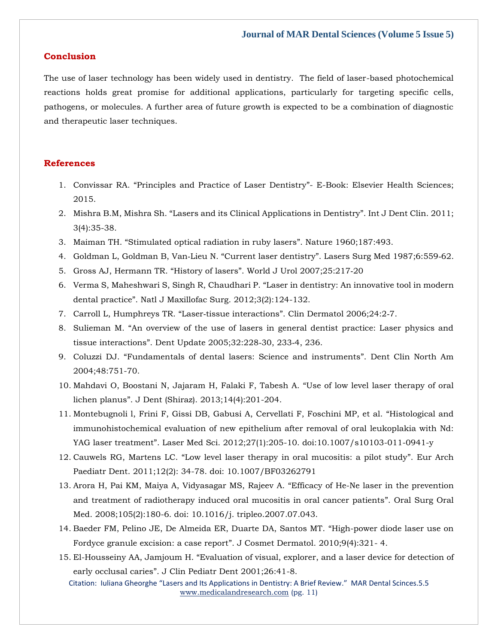# **Conclusion**

The use of laser technology has been widely used in dentistry. The field of laser-based photochemical reactions holds great promise for additional applications, particularly for targeting specific cells, pathogens, or molecules. A further area of future growth is expected to be a combination of diagnostic and therapeutic laser techniques.

# **References**

- 1. Convissar RA. "[Principles and Practice of Laser Dentistry](https://www.google.com/search?q=%E2%80%9CPrinciples+and+Practice+of+Laser+Dentistry%E2%80%9D&rlz=1C1CHBF_enIN1000IN1000&oq=%E2%80%9CPrinciples+and+Practice+of+Laser+Dentistry%E2%80%9D&aqs=chrome..69i57j0i512l2j0i22i30i457j0i390l5.875j0j15&sourceid=chrome&ie=UTF-8)"- E-Book: Elsevier Health Sciences; [2015.](https://www.google.com/search?q=%E2%80%9CPrinciples+and+Practice+of+Laser+Dentistry%E2%80%9D&rlz=1C1CHBF_enIN1000IN1000&oq=%E2%80%9CPrinciples+and+Practice+of+Laser+Dentistry%E2%80%9D&aqs=chrome..69i57j0i512l2j0i22i30i457j0i390l5.875j0j15&sourceid=chrome&ie=UTF-8)
- 2. Mishra B.M, Mishra Sh. "[Lasers and its Clinical Applications in Dentistry](https://www.google.com/search?q=%E2%80%9CLasers+and+its+Clinical+Applications+in+Dentistry%E2%80%9D&rlz=1C1CHBF_enIN1000IN1000&sxsrf=ALiCzsZUK-wsk4pMnZydzwciJTt5lJi0Ew%3A1652768926080&ei=nkCDYunLBOWdseMPv56mSA&ved=0ahUKEwjpkvCF9OX3AhXlTmwGHT-PCQkQ4dUDCA4&uact=5&oq=%E2%80%9CLasers+and+its+Clinical+Applications+in+Dentistry%E2%80%9D&gs_lcp=Cgdnd3Mtd2l6EAM6BwgjEOoCECdKBAhBGABKBAhGGABQ1BBY1BBgzCFoAXABeACAAaYBiAGmAZIBAzAuMZgBAKABAaABArABCsABAQ&sclient=gws-wiz)". Int J Dent Clin. 2011; [3\(4\):35-38.](https://www.google.com/search?q=%E2%80%9CLasers+and+its+Clinical+Applications+in+Dentistry%E2%80%9D&rlz=1C1CHBF_enIN1000IN1000&sxsrf=ALiCzsZUK-wsk4pMnZydzwciJTt5lJi0Ew%3A1652768926080&ei=nkCDYunLBOWdseMPv56mSA&ved=0ahUKEwjpkvCF9OX3AhXlTmwGHT-PCQkQ4dUDCA4&uact=5&oq=%E2%80%9CLasers+and+its+Clinical+Applications+in+Dentistry%E2%80%9D&gs_lcp=Cgdnd3Mtd2l6EAM6BwgjEOoCECdKBAhBGABKBAhGGABQ1BBY1BBgzCFoAXABeACAAaYBiAGmAZIBAzAuMZgBAKABAaABArABCsABAQ&sclient=gws-wiz)
- 3. Maiman TH. "[Stimulated optical radiation in ruby lasers](https://www.google.com/search?q=%E2%80%9CStimulated+optical+radiation+in+ruby+lasers%E2%80%9D&rlz=1C1CHBF_enIN1000IN1000&sxsrf=ALiCzsY0m0wTcxYWkteSG5Evv5UzfZexKg%3A1652768947982&ei=s0CDYs_PO-mRseMPyrOfiAI&ved=0ahUKEwiP9aiQ9OX3AhXpSGwGHcrZByEQ4dUDCA4&uact=5&oq=%E2%80%9CStimulated+optical+radiation+in+ruby+lasers%E2%80%9D&gs_lcp=Cgdnd3Mtd2l6EAMyBQghEKABMgUIIRCgATIFCCEQoAE6BwgjEOoCECdKBAhBGABKBAhGGABQrQxYrQxgxBloAnABeACAAZwBiAGcAZIBAzAuMZgBAKABAaABArABCsABAQ&sclient=gws-wiz)". Nature 1960;187:493.
- 4. Goldman L, Goldman B, Van-Lieu N. "Current laser dentistry"[. Lasers Surg Med 1987;6:559](https://www.google.com/search?q=%E2%80%9CCurrent+laser+dentistry%E2%80%9D&rlz=1C1CHBF_enIN1000IN1000&sxsrf=ALiCzsZjHgW786MgRcQq6iAJ3eZtejjL8Q%3A1652768980035&ei=1ECDYrTmAcaPseMPtdiZkA8&ved=0ahUKEwi0oM2f9OX3AhXGR2wGHTVsBvIQ4dUDCA4&uact=5&oq=%E2%80%9CCurrent+laser+dentistry%E2%80%9D&gs_lcp=Cgdnd3Mtd2l6EAMyBggAEBYQHjoHCCMQ6gIQJ0oECEEYAEoECEYYAFDnDFjnDGDyGWgBcAF4AIABYYgBYZIBATGYAQCgAQGgAQKwAQrAAQE&sclient=gws-wiz)-62.
- 5. Gross AJ, Hermann TR. "History of lasers"[. World J Urol 2007;25:217](https://www.google.com/search?q=%E2%80%9CHistory+of+lasers%E2%80%9D&rlz=1C1CHBF_enIN1000IN1000&sxsrf=ALiCzsYUE3oQb86gexlOxA1QH18jKCUCqQ%3A1652769006821&ei=7kCDYr7jMfajseMP_NiuCA&ved=0ahUKEwi-krCs9OX3AhX2UWwGHXysCwEQ4dUDCA4&uact=5&oq=%E2%80%9CHistory+of+lasers%E2%80%9D&gs_lcp=Cgdnd3Mtd2l6EAMyBwgjEOoCECcyBwgjEOoCECcyBwgjEOoCECcyBwgjEOoCECcyBwgjEOoCECcyBwgjEOoCECcyBwgjEOoCECcyBwgjEOoCECcyBwgjEOoCECcyBwgjEOoCECdKBAhBGABKBAhGGABQqxxYqxxgthxoAnABeACAAQCIAQCSAQCYAQCgAQGgAQKwAQrAAQE&sclient=gws-wiz)‑20
- 6. [Verma S, Maheshwari S, Singh R, Chaudhari P.](https://www.google.com/search?q=.+%E2%80%9CLaser+in+dentistry%3A+An+innovative+tool+in+modern+dental+practice%E2%80%9D&rlz=1C1CHBF_enIN1000IN1000&sxsrf=ALiCzsZG7UDCT2e91UaVx4_eXajmHGCD0g%3A1652769036469&ei=DEGDYq2iHJiQseMPktCSgAI&ved=0ahUKEwit2MG69OX3AhUYSGwGHRKoBCAQ4dUDCA4&uact=5&oq=.+%E2%80%9CLaser+in+dentistry%3A+An+innovative+tool+in+modern+dental+practice%E2%80%9D&gs_lcp=Cgdnd3Mtd2l6EAMyBAgAEB46BwgjEOoCECdKBAhBGABKBAhGGABQ0Q9Y0Q9gyB5oAXABeACAAWuIAWuSAQMwLjGYAQCgAQGgAQKwAQrAAQE&sclient=gws-wiz) "Laser in dentistry: An innovative tool in modern dental practice"[. Natl J Maxillofac Surg. 2012;3\(2\):124-132.](https://www.google.com/search?q=.+%E2%80%9CLaser+in+dentistry%3A+An+innovative+tool+in+modern+dental+practice%E2%80%9D&rlz=1C1CHBF_enIN1000IN1000&sxsrf=ALiCzsZG7UDCT2e91UaVx4_eXajmHGCD0g%3A1652769036469&ei=DEGDYq2iHJiQseMPktCSgAI&ved=0ahUKEwit2MG69OX3AhUYSGwGHRKoBCAQ4dUDCA4&uact=5&oq=.+%E2%80%9CLaser+in+dentistry%3A+An+innovative+tool+in+modern+dental+practice%E2%80%9D&gs_lcp=Cgdnd3Mtd2l6EAMyBAgAEB46BwgjEOoCECdKBAhBGABKBAhGGABQ0Q9Y0Q9gyB5oAXABeACAAWuIAWuSAQMwLjGYAQCgAQGgAQKwAQrAAQE&sclient=gws-wiz)
- 7. [Carroll L, Humphreys TR.](https://www.google.com/search?q=%E2%80%9CLaser%E2%80%91tissue+interactions%E2%80%9D&rlz=1C1CHBF_enIN1000IN1000&sxsrf=ALiCzsadQBjulr2aFtnm1mqnJ6Lt4c9XRQ%3A1652769064890&ei=KEGDYrP4NdSWseMP8MC2oAk&ved=0ahUKEwizrIjI9OX3AhVUS2wGHXCgDZQQ4dUDCA4&uact=5&oq=%E2%80%9CLaser%E2%80%91tissue+interactions%E2%80%9D&gs_lcp=Cgdnd3Mtd2l6EAMyBggAEBYQHjIGCAAQFhAeMgYIABAWEB4yBggAEBYQHjIGCAAQFhAeMgYIABAWEB46BwgjEOoCECdKBAhBGABKBAhGGABQqwxYqwxg6RhoAXABeACAAWyIAWySAQMwLjGYAQCgAQGgAQKwAQrAAQE&sclient=gws-wiz) "Laser‑tissue interactions". Clin Dermatol 2006;24:2‑7.
- 8. Sulieman M. "[An overview of the use of lasers in general dentist practice: Laser physics and](https://www.google.com/search?q=%E2%80%9CAn+overview+of+the+use+of+lasers+in+general+dentist+practice%3A+Laser+physics+and+tissue+interactions%E2%80%9D&rlz=1C1CHBF_enIN1000IN1000&sxsrf=ALiCzsYmCRT3ixvhjwdcwqffF8UJWb9aUQ%3A1652769091834&ei=Q0GDYtfMMtiVseMPrcKriAE&ved=0ahUKEwiX-vTU9OX3AhXYSmwGHS3hChEQ4dUDCA4&uact=5&oq=%E2%80%9CAn+overview+of+the+use+of+lasers+in+general+dentist+practice%3A+Laser+physics+and+tissue+interactions%E2%80%9D&gs_lcp=Cgdnd3Mtd2l6EAMyBwgjEOoCECcyBwgjEOoCECcyBwgjEOoCECcyBwgjEOoCECcyBwgjEOoCECcyBwgjEOoCECcyBwgjEOoCECcyBwgjEOoCECcyBwgjEOoCECcyBwgjEOoCECdKBAhBGABKBAhGGABQjxJYjxJgnhJoAnABeACAAQCIAQCSAQCYAQCgAQGgAQKwAQrAAQE&sclient=gws-wiz)  tissue interactions"[. Dent Update 2005;32:228](https://www.google.com/search?q=%E2%80%9CAn+overview+of+the+use+of+lasers+in+general+dentist+practice%3A+Laser+physics+and+tissue+interactions%E2%80%9D&rlz=1C1CHBF_enIN1000IN1000&sxsrf=ALiCzsYmCRT3ixvhjwdcwqffF8UJWb9aUQ%3A1652769091834&ei=Q0GDYtfMMtiVseMPrcKriAE&ved=0ahUKEwiX-vTU9OX3AhXYSmwGHS3hChEQ4dUDCA4&uact=5&oq=%E2%80%9CAn+overview+of+the+use+of+lasers+in+general+dentist+practice%3A+Laser+physics+and+tissue+interactions%E2%80%9D&gs_lcp=Cgdnd3Mtd2l6EAMyBwgjEOoCECcyBwgjEOoCECcyBwgjEOoCECcyBwgjEOoCECcyBwgjEOoCECcyBwgjEOoCECcyBwgjEOoCECcyBwgjEOoCECcyBwgjEOoCECcyBwgjEOoCECdKBAhBGABKBAhGGABQjxJYjxJgnhJoAnABeACAAQCIAQCSAQCYAQCgAQGgAQKwAQrAAQE&sclient=gws-wiz)‑30, 233‑4, 236.
- 9. Coluzzi DJ. "[Fundamentals of dental lasers: Science and instruments](https://www.google.com/search?q=%E2%80%9CFundamentals+of+dental+lasers%3A+Science+and+instruments%E2%80%9D&rlz=1C1CHBF_enIN1000IN1000&sxsrf=ALiCzsbK3d9GB7Hvc_6jYtwPfVmQyuDRQw%3A1652769120491&ei=YEGDYuPMHaeRseMP4NyEiAQ&ved=0ahUKEwjj_Mni9OX3AhWnSGwGHWAuAUEQ4dUDCA4&uact=5&oq=%E2%80%9CFundamentals+of+dental+lasers%3A+Science+and+instruments%E2%80%9D&gs_lcp=Cgdnd3Mtd2l6EAMyBggAEBYQHjoHCCMQ6gIQJ0oECEEYAEoECEYYAFDCXljCXmDva2gBcAF4AIABb4gBb5IBAzAuMZgBAKABAaABArABCsABAQ&sclient=gws-wiz)". Dent Clin North Am [2004;48:751-70.](https://www.google.com/search?q=%E2%80%9CFundamentals+of+dental+lasers%3A+Science+and+instruments%E2%80%9D&rlz=1C1CHBF_enIN1000IN1000&sxsrf=ALiCzsbK3d9GB7Hvc_6jYtwPfVmQyuDRQw%3A1652769120491&ei=YEGDYuPMHaeRseMP4NyEiAQ&ved=0ahUKEwjj_Mni9OX3AhWnSGwGHWAuAUEQ4dUDCA4&uact=5&oq=%E2%80%9CFundamentals+of+dental+lasers%3A+Science+and+instruments%E2%80%9D&gs_lcp=Cgdnd3Mtd2l6EAMyBggAEBYQHjoHCCMQ6gIQJ0oECEEYAEoECEYYAFDCXljCXmDva2gBcAF4AIABb4gBb5IBAzAuMZgBAKABAaABArABCsABAQ&sclient=gws-wiz)
- 10. [Mahdavi O, Boostani N, Jajaram H, Falaki F, Tabesh A.](https://www.google.com/search?q=%E2%80%9CUse+of+low+level+laser+therapy+of+oral+lichen+planus%E2%80%9D&rlz=1C1CHBF_enIN1000IN1000&sxsrf=ALiCzsZEZJC-Kw7oUAxKatB0GKrx2ZxeSA%3A1652769201257&ei=sUGDYsalD4aeseMP9ImiiAs&ved=0ahUKEwiGwouJ9eX3AhUGT2wGHfSECLEQ4dUDCA4&uact=5&oq=%E2%80%9CUse+of+low+level+laser+therapy+of+oral+lichen+planus%E2%80%9D&gs_lcp=Cgdnd3Mtd2l6EAMyBAgAEEcyBAgAEEcyBAgAEEcyBAgAEEcyBAgAEEcyBAgAEEcyBAgAEEcyBAgAEEc6BwgjEOoCECdKBAhBGABKBAhGGABQ5QtY5Qtg9A1oAXACeACAAQCIAQCSAQCYAQCgAQGgAQKwAQrIAQjAAQE&sclient=gws-wiz) "Use of low level laser therapy of oral lichen planus"[. J Dent \(Shiraz\). 2013;14\(4\):201-204.](https://www.google.com/search?q=%E2%80%9CUse+of+low+level+laser+therapy+of+oral+lichen+planus%E2%80%9D&rlz=1C1CHBF_enIN1000IN1000&sxsrf=ALiCzsZEZJC-Kw7oUAxKatB0GKrx2ZxeSA%3A1652769201257&ei=sUGDYsalD4aeseMP9ImiiAs&ved=0ahUKEwiGwouJ9eX3AhUGT2wGHfSECLEQ4dUDCA4&uact=5&oq=%E2%80%9CUse+of+low+level+laser+therapy+of+oral+lichen+planus%E2%80%9D&gs_lcp=Cgdnd3Mtd2l6EAMyBAgAEEcyBAgAEEcyBAgAEEcyBAgAEEcyBAgAEEcyBAgAEEcyBAgAEEcyBAgAEEc6BwgjEOoCECdKBAhBGABKBAhGGABQ5QtY5Qtg9A1oAXACeACAAQCIAQCSAQCYAQCgAQGgAQKwAQrIAQjAAQE&sclient=gws-wiz)
- 11. [Montebugnoli l, Frini F, Gissi DB, Gabusi A, Cervellati F, Foschini MP, et al.](https://www.google.com/search?q=%E2%80%9CHistological+and+immunohistochemical+evaluation+of+new+epithelium+after+removal+of+oral+leukoplakia+with+Nd%3A+YAG+laser+treatment%E2%80%9D&rlz=1C1CHBF_enIN1000IN1000&sxsrf=ALiCzsZEZJC-Kw7oUAxKatB0GKrx2ZxeSA%3A1652769201257&ei=sUGDYsalD4aeseMP9ImiiAs&ved=0ahUKEwiGwouJ9eX3AhUGT2wGHfSECLEQ4dUDCA4&uact=5&oq=%E2%80%9CHistological+and+immunohistochemical+evaluation+of+new+epithelium+after+removal+of+oral+leukoplakia+with+Nd%3A+YAG+laser+treatment%E2%80%9D&gs_lcp=Cgdnd3Mtd2l6EAMyBwgjEOoCECcyBwgjEOoCECcyBwgjEOoCECcyBwgjEOoCECcyBwgjEOoCECcyBwgjEOoCECcyBwgjEOoCECcyBwgjEOoCECcyBwgjEOoCECcyBwgjEOoCECdKBAhBGABKBAhGGABQjQxYjQxgpBNoAXABeACAAQCIAQCSAQCYAQCgAQGgAQKwAQrAAQE&sclient=gws-wiz) "Histological and [immunohistochemical evaluation of new epithelium after removal of oral leukoplakia with Nd:](https://www.google.com/search?q=%E2%80%9CHistological+and+immunohistochemical+evaluation+of+new+epithelium+after+removal+of+oral+leukoplakia+with+Nd%3A+YAG+laser+treatment%E2%80%9D&rlz=1C1CHBF_enIN1000IN1000&sxsrf=ALiCzsZEZJC-Kw7oUAxKatB0GKrx2ZxeSA%3A1652769201257&ei=sUGDYsalD4aeseMP9ImiiAs&ved=0ahUKEwiGwouJ9eX3AhUGT2wGHfSECLEQ4dUDCA4&uact=5&oq=%E2%80%9CHistological+and+immunohistochemical+evaluation+of+new+epithelium+after+removal+of+oral+leukoplakia+with+Nd%3A+YAG+laser+treatment%E2%80%9D&gs_lcp=Cgdnd3Mtd2l6EAMyBwgjEOoCECcyBwgjEOoCECcyBwgjEOoCECcyBwgjEOoCECcyBwgjEOoCECcyBwgjEOoCECcyBwgjEOoCECcyBwgjEOoCECcyBwgjEOoCECcyBwgjEOoCECdKBAhBGABKBAhGGABQjQxYjQxgpBNoAXABeACAAQCIAQCSAQCYAQCgAQGgAQKwAQrAAQE&sclient=gws-wiz)  YAG laser treatment"[. Laser Med Sci. 2012;27\(1\):205-10. doi:10.1007/s10103-011-0941-y](https://www.google.com/search?q=%E2%80%9CHistological+and+immunohistochemical+evaluation+of+new+epithelium+after+removal+of+oral+leukoplakia+with+Nd%3A+YAG+laser+treatment%E2%80%9D&rlz=1C1CHBF_enIN1000IN1000&sxsrf=ALiCzsZEZJC-Kw7oUAxKatB0GKrx2ZxeSA%3A1652769201257&ei=sUGDYsalD4aeseMP9ImiiAs&ved=0ahUKEwiGwouJ9eX3AhUGT2wGHfSECLEQ4dUDCA4&uact=5&oq=%E2%80%9CHistological+and+immunohistochemical+evaluation+of+new+epithelium+after+removal+of+oral+leukoplakia+with+Nd%3A+YAG+laser+treatment%E2%80%9D&gs_lcp=Cgdnd3Mtd2l6EAMyBwgjEOoCECcyBwgjEOoCECcyBwgjEOoCECcyBwgjEOoCECcyBwgjEOoCECcyBwgjEOoCECcyBwgjEOoCECcyBwgjEOoCECcyBwgjEOoCECcyBwgjEOoCECdKBAhBGABKBAhGGABQjQxYjQxgpBNoAXABeACAAQCIAQCSAQCYAQCgAQGgAQKwAQrAAQE&sclient=gws-wiz)
- 12. Cauwels RG, Martens LC. "[Low level laser therapy in oral mucositis: a pilot study](https://www.google.com/search?q=%E2%80%9CLow+level+laser+therapy+in+oral+mucositis%3A+a+pilot+study%E2%80%9D&rlz=1C1CHBF_enIN1000IN1000&sxsrf=ALiCzsYSxgVY52gmMLvXMdc0dB2hi0A-mQ%3A1652769302121&ei=FkKDYov7BsycseMPq5SS8A0&ved=0ahUKEwiL3pe59eX3AhVMTmwGHSuKBN4Q4dUDCA4&uact=5&oq=%E2%80%9CLow+level+laser+therapy+in+oral+mucositis%3A+a+pilot+study%E2%80%9D&gs_lcp=Cgdnd3Mtd2l6EAMyBggAEBYQHjoHCCMQ6gIQJ0oECEEYAEoECEYYAFD1Clj1CmDKFmgBcAB4AIABbogBbpIBAzAuMZgBAKABAaABArABCsABAQ&sclient=gws-wiz)". Eur Arch [Paediatr Dent. 2011;12\(2\): 34-78. doi: 10.1007/BF03262791](https://www.google.com/search?q=%E2%80%9CLow+level+laser+therapy+in+oral+mucositis%3A+a+pilot+study%E2%80%9D&rlz=1C1CHBF_enIN1000IN1000&sxsrf=ALiCzsYSxgVY52gmMLvXMdc0dB2hi0A-mQ%3A1652769302121&ei=FkKDYov7BsycseMPq5SS8A0&ved=0ahUKEwiL3pe59eX3AhVMTmwGHSuKBN4Q4dUDCA4&uact=5&oq=%E2%80%9CLow+level+laser+therapy+in+oral+mucositis%3A+a+pilot+study%E2%80%9D&gs_lcp=Cgdnd3Mtd2l6EAMyBggAEBYQHjoHCCMQ6gIQJ0oECEEYAEoECEYYAFD1Clj1CmDKFmgBcAB4AIABbogBbpIBAzAuMZgBAKABAaABArABCsABAQ&sclient=gws-wiz)
- 13. [Arora H, Pai KM, Maiya A, Vidyasagar MS, Rajeev A.](https://www.google.com/search?q=%E2%80%9CEfficacy+of+He-Ne+laser+in+the+prevention+and+treatment+of+radiotherapy+induced+oral+mucositis+in+oral+cancer+patients%E2%80%9D&rlz=1C1CHBF_enIN1000IN1000&sxsrf=ALiCzsY12jnnc25wVPBIred_ShQhF1MPiA%3A1652769346628&ei=QkKDYqvpJeuSseMPw_OZwAw&ved=0ahUKEwirkrTO9eX3AhVrSWwGHcN5BsgQ4dUDCA4&uact=5&oq=%E2%80%9CEfficacy+of+He-Ne+laser+in+the+prevention+and+treatment+of+radiotherapy+induced+oral+mucositis+in+oral+cancer+patients%E2%80%9D&gs_lcp=Cgdnd3Mtd2l6EAMyBwgjEOoCECcyBwgjEOoCECcyBwgjEOoCECcyBwgjEOoCECcyBwgjEOoCECcyBwgjEOoCECcyBwgjEOoCECcyBwgjEOoCECcyBwgjEOoCECcyBwgjEOoCECdKBAhBGABKBAhGGABQuRlYuRlgqCVoAXAAeACAAQCIAQCSAQCYAQCgAQGgAQKwAQrAAQE&sclient=gws-wiz) "Efficacy of He-Ne laser in the prevention [and treatment of radiotherapy induced oral mucositis in oral cancer patients](https://www.google.com/search?q=%E2%80%9CEfficacy+of+He-Ne+laser+in+the+prevention+and+treatment+of+radiotherapy+induced+oral+mucositis+in+oral+cancer+patients%E2%80%9D&rlz=1C1CHBF_enIN1000IN1000&sxsrf=ALiCzsY12jnnc25wVPBIred_ShQhF1MPiA%3A1652769346628&ei=QkKDYqvpJeuSseMPw_OZwAw&ved=0ahUKEwirkrTO9eX3AhVrSWwGHcN5BsgQ4dUDCA4&uact=5&oq=%E2%80%9CEfficacy+of+He-Ne+laser+in+the+prevention+and+treatment+of+radiotherapy+induced+oral+mucositis+in+oral+cancer+patients%E2%80%9D&gs_lcp=Cgdnd3Mtd2l6EAMyBwgjEOoCECcyBwgjEOoCECcyBwgjEOoCECcyBwgjEOoCECcyBwgjEOoCECcyBwgjEOoCECcyBwgjEOoCECcyBwgjEOoCECcyBwgjEOoCECcyBwgjEOoCECdKBAhBGABKBAhGGABQuRlYuRlgqCVoAXAAeACAAQCIAQCSAQCYAQCgAQGgAQKwAQrAAQE&sclient=gws-wiz)". Oral Surg Oral [Med. 2008;105\(2\):180-6. doi: 10.1016/j. tripleo.2007.07.043.](https://www.google.com/search?q=%E2%80%9CEfficacy+of+He-Ne+laser+in+the+prevention+and+treatment+of+radiotherapy+induced+oral+mucositis+in+oral+cancer+patients%E2%80%9D&rlz=1C1CHBF_enIN1000IN1000&sxsrf=ALiCzsY12jnnc25wVPBIred_ShQhF1MPiA%3A1652769346628&ei=QkKDYqvpJeuSseMPw_OZwAw&ved=0ahUKEwirkrTO9eX3AhVrSWwGHcN5BsgQ4dUDCA4&uact=5&oq=%E2%80%9CEfficacy+of+He-Ne+laser+in+the+prevention+and+treatment+of+radiotherapy+induced+oral+mucositis+in+oral+cancer+patients%E2%80%9D&gs_lcp=Cgdnd3Mtd2l6EAMyBwgjEOoCECcyBwgjEOoCECcyBwgjEOoCECcyBwgjEOoCECcyBwgjEOoCECcyBwgjEOoCECcyBwgjEOoCECcyBwgjEOoCECcyBwgjEOoCECcyBwgjEOoCECdKBAhBGABKBAhGGABQuRlYuRlgqCVoAXAAeACAAQCIAQCSAQCYAQCgAQGgAQKwAQrAAQE&sclient=gws-wiz)
- 14. [Baeder FM, Pelino JE, De Almeida ER, Duarte DA, Santos MT.](https://www.google.com/search?q=%E2%80%9CHigh-power+diode+laser+use+on+Fordyce+granule+excision%3A+a+case+report%E2%80%9D.&rlz=1C1CHBF_enIN1000IN1000&sxsrf=ALiCzsYfjlM6hOP-RjbZh1ww--5p2xy7Nw%3A1652769378687&ei=YkKDYrW8KfSMseMPhrqCwAQ&ved=0ahUKEwi19djd9eX3AhV0RmwGHQadAEgQ4dUDCA4&uact=5&oq=%E2%80%9CHigh-power+diode+laser+use+on+Fordyce+granule+excision%3A+a+case+report%E2%80%9D.&gs_lcp=Cgdnd3Mtd2l6EAM6BwgjEOoCECdKBAhBGABKBAhGGABQzAtYzAtghhhoAXABeACAAXKIAXKSAQMwLjGYAQCgAQGgAQKwAQrAAQE&sclient=gws-wiz) "High-power diode laser use on [Fordyce granule excision: a case report](https://www.google.com/search?q=%E2%80%9CHigh-power+diode+laser+use+on+Fordyce+granule+excision%3A+a+case+report%E2%80%9D.&rlz=1C1CHBF_enIN1000IN1000&sxsrf=ALiCzsYfjlM6hOP-RjbZh1ww--5p2xy7Nw%3A1652769378687&ei=YkKDYrW8KfSMseMPhrqCwAQ&ved=0ahUKEwi19djd9eX3AhV0RmwGHQadAEgQ4dUDCA4&uact=5&oq=%E2%80%9CHigh-power+diode+laser+use+on+Fordyce+granule+excision%3A+a+case+report%E2%80%9D.&gs_lcp=Cgdnd3Mtd2l6EAM6BwgjEOoCECdKBAhBGABKBAhGGABQzAtYzAtghhhoAXABeACAAXKIAXKSAQMwLjGYAQCgAQGgAQKwAQrAAQE&sclient=gws-wiz)". J Cosmet Dermatol. 2010;9(4):321- 4.
- 15. El-Housseiny AA, Jamjoum H. "[Evaluation of visual, explorer, and a laser device for detection of](https://www.google.com/search?q=%E2%80%9CEvaluation+of+visual%2C+explorer%2C+and+a+laser+device+for+detection+of+early+occlusal+caries%E2%80%9D.+&rlz=1C1CHBF_enIN1000IN1000&sxsrf=ALiCzsZbF01bLsldwu5k7Up2SrzgLkzvAQ%3A1652769424209&ei=kEKDYoOtDPmcseMPvpqJiAg&ved=0ahUKEwiDtbPz9eX3AhV5TmwGHT5NAoEQ4dUDCA4&uact=5&oq=%E2%80%9CEvaluation+of+visual%2C+explorer%2C+and+a+laser+device+for+detection+of+early+occlusal+caries%E2%80%9D.+&gs_lcp=Cgdnd3Mtd2l6EAM6BwgjEOoCECdKBAhBGABKBAhGGABQ8wtY8wtg3RdoAXAAeACAAW6IAW6SAQMwLjGYAQCgAQGgAQKwAQrAAQE&sclient=gws-wiz)  early occlusal caries"[. J Clin Pediatr Dent 2001;26:41-8.](https://www.google.com/search?q=%E2%80%9CEvaluation+of+visual%2C+explorer%2C+and+a+laser+device+for+detection+of+early+occlusal+caries%E2%80%9D.+&rlz=1C1CHBF_enIN1000IN1000&sxsrf=ALiCzsZbF01bLsldwu5k7Up2SrzgLkzvAQ%3A1652769424209&ei=kEKDYoOtDPmcseMPvpqJiAg&ved=0ahUKEwiDtbPz9eX3AhV5TmwGHT5NAoEQ4dUDCA4&uact=5&oq=%E2%80%9CEvaluation+of+visual%2C+explorer%2C+and+a+laser+device+for+detection+of+early+occlusal+caries%E2%80%9D.+&gs_lcp=Cgdnd3Mtd2l6EAM6BwgjEOoCECdKBAhBGABKBAhGGABQ8wtY8wtg3RdoAXAAeACAAW6IAW6SAQMwLjGYAQCgAQGgAQKwAQrAAQE&sclient=gws-wiz)

Citation: Iuliana Gheorghe "Lasers and Its Applications in Dentistry: A Brief Review." MAR Dental Scinces.5.5 [www.medicalandresearch.com](http://www.medicalandresearch.com/) (pg. 11)